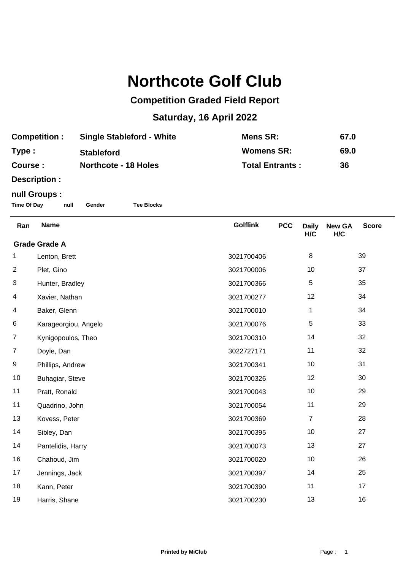## **Northcote Golf Club**

## **Competition Graded Field Report**

## **Saturday, 16 April 2022**

| <b>Competition:</b> | <b>Single Stableford - White</b> | Mens SR:               | 67.0 |
|---------------------|----------------------------------|------------------------|------|
| Type:               | <b>Stableford</b>                | <b>Womens SR:</b>      | 69.0 |
| Course :            | <b>Northcote - 18 Holes</b>      | <b>Total Entrants:</b> | 36   |

**Description :**

## **null Groups :**

**Time Of Day null Gender Tee Blocks**

| Ran                  | <b>Name</b>          | <b>Golflink</b> | <b>PCC</b> | <b>Daily</b><br>H/C | <b>New GA</b><br>H/C | <b>Score</b> |  |
|----------------------|----------------------|-----------------|------------|---------------------|----------------------|--------------|--|
| <b>Grade Grade A</b> |                      |                 |            |                     |                      |              |  |
| 1                    | Lenton, Brett        | 3021700406      |            | 8                   |                      | 39           |  |
| $\overline{2}$       | Plet, Gino           | 3021700006      |            | 10                  |                      | 37           |  |
| 3                    | Hunter, Bradley      | 3021700366      |            | 5                   |                      | 35           |  |
| 4                    | Xavier, Nathan       | 3021700277      |            | 12                  |                      | 34           |  |
| 4                    | Baker, Glenn         | 3021700010      |            | $\mathbf{1}$        |                      | 34           |  |
| 6                    | Karageorgiou, Angelo | 3021700076      |            | 5                   |                      | 33           |  |
| $\overline{7}$       | Kynigopoulos, Theo   | 3021700310      |            | 14                  |                      | 32           |  |
| 7                    | Doyle, Dan           | 3022727171      |            | 11                  |                      | 32           |  |
| 9                    | Phillips, Andrew     | 3021700341      |            | 10                  |                      | 31           |  |
| 10                   | Buhagiar, Steve      | 3021700326      |            | 12                  |                      | 30           |  |
| 11                   | Pratt, Ronald        | 3021700043      |            | 10                  |                      | 29           |  |
| 11                   | Quadrino, John       | 3021700054      |            | 11                  |                      | 29           |  |
| 13                   | Kovess, Peter        | 3021700369      |            | $\overline{7}$      |                      | 28           |  |
| 14                   | Sibley, Dan          | 3021700395      |            | 10                  |                      | 27           |  |
| 14                   | Pantelidis, Harry    | 3021700073      |            | 13                  |                      | 27           |  |
| 16                   | Chahoud, Jim         | 3021700020      |            | 10                  |                      | 26           |  |
| 17                   | Jennings, Jack       | 3021700397      |            | 14                  |                      | 25           |  |
| 18                   | Kann, Peter          | 3021700390      |            | 11                  |                      | 17           |  |
| 19                   | Harris, Shane        | 3021700230      |            | 13                  |                      | 16           |  |